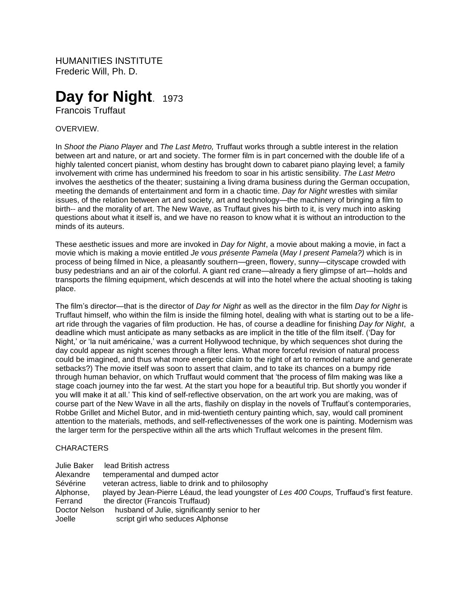HUMANITIES INSTITUTE Frederic Will, Ph. D.

# Day for Night. 1973

Francois Truffaut

## OVERVIEW.

In *Shoot the Piano Player* and *The Last Metro,* Truffaut works through a subtle interest in the relation between art and nature, or art and society. The former film is in part concerned with the double life of a highly talented concert pianist, whom destiny has brought down to cabaret piano playing level; a family involvement with crime has undermined his freedom to soar in his artistic sensibility. *The Last Metro* involves the aesthetics of the theater; sustaining a living drama business during the German occupation, meeting the demands of entertainment and form in a chaotic time. *Day for Night* wrestles with similar issues, of the relation between art and society, art and technology—the machinery of bringing a film to birth-- and the morality of art. The New Wave, as Truffaut gives his birth to it, is very much into asking questions about what it itself is, and we have no reason to know what it is without an introduction to the minds of its auteurs.

These aesthetic issues and more are invoked in *Day for Night*, a movie about making a movie, in fact a movie which is making a movie entitled *Je vous présente Pamela* (*May I present Pamela?)* which is in process of being filmed in Nice, a pleasantly southern—green, flowery, sunny—cityscape crowded with busy pedestrians and an air of the colorful. A giant red crane—already a fiery glimpse of art—holds and transports the filming equipment, which descends at will into the hotel where the actual shooting is taking place.

The film's director—that is the director of *Day for Night* as well as the director in the film *Day for Night* is Truffaut himself, who within the film is inside the filming hotel, dealing with what is starting out to be a lifeart ride through the vagaries of film production. He has, of course a deadline for finishing *Day for Night*, a deadline which must anticipate as many setbacks as are implicit in the title of the film itself. ('Day for Night,' or 'la nuit américaine,' was a current Hollywood technique, by which sequences shot during the day could appear as night scenes through a filter lens. What more forceful revision of natural process could be imagined, and thus what more energetic claim to the right of art to remodel nature and generate setbacks?) The movie itself was soon to assert that claim, and to take its chances on a bumpy ride through human behavior, on which Truffaut would comment that 'the process of film making was like a stage coach journey into the far west. At the start you hope for a beautiful trip. But shortly you wonder if you wlll make it at all.' This kind of self-reflective observation, on the art work you are making, was of course part of the New Wave in all the arts, flashily on display in the novels of Truffaut's contemporaries, Robbe Grillet and Michel Butor, and in mid-twentieth century painting which, say, would call prominent attention to the materials, methods, and self-reflectivenesses of the work one is painting. Modernism was the larger term for the perspective within all the arts which Truffaut welcomes in the present film.

#### **CHARACTERS**

| Julie Baker   | lead British actress                                                                        |
|---------------|---------------------------------------------------------------------------------------------|
| Alexandre     | temperamental and dumped actor                                                              |
| Sévérine      | veteran actress, liable to drink and to philosophy                                          |
| Alphonse,     | played by Jean-Pierre Léaud, the lead youngster of Les 400 Coups, Truffaud's first feature. |
| Ferrand       | the director (Francois Truffaud)                                                            |
| Doctor Nelson | husband of Julie, significantly senior to her                                               |
| Joelle        | script girl who seduces Alphonse                                                            |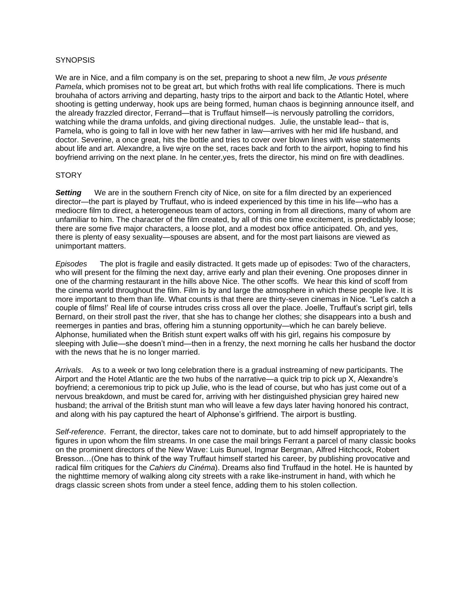#### **SYNOPSIS**

We are in Nice, and a film company is on the set, preparing to shoot a new film, *Je vous présente Pamela*, which promises not to be great art, but which froths with real life complications. There is much brouhaha of actors arriving and departing, hasty trips to the airport and back to the Atlantic Hotel, where shooting is getting underway, hook ups are being formed, human chaos is beginning announce itself, and the already frazzled director, Ferrand—that is Truffaut himself—is nervously patrolling the corridors, watching while the drama unfolds, and giving directional nudges. Julie, the unstable lead-- that is, Pamela, who is going to fall in love with her new father in law—arrives with her mid life husband, and doctor. Severine, a once great, hits the bottle and tries to cover over blown lines with wise statements about life and art. Alexandre, a live wjre on the set, races back and forth to the airport, hoping to find his boyfriend arriving on the next plane. In he center,yes, frets the director, his mind on fire with deadlines.

#### **STORY**

**Setting** We are in the southern French city of Nice, on site for a film directed by an experienced director—the part is played by Truffaut, who is indeed experienced by this time in his life—who has a mediocre film to direct, a heterogeneous team of actors, coming in from all directions, many of whom are unfamiliar to him. The character of the film created, by all of this one time excitement, is predictably loose; there are some five major characters, a loose plot, and a modest box office anticipated. Oh, and yes, there is plenty of easy sexuality—spouses are absent, and for the most part liaisons are viewed as unimportant matters.

*Episodes* The plot is fragile and easily distracted. It gets made up of episodes: Two of the characters, who will present for the filming the next day, arrive early and plan their evening. One proposes dinner in one of the charming restaurant in the hills above Nice. The other scoffs. We hear this kind of scoff from the cinema world throughout the film. Film is by and large the atmosphere in which these people live. It is more important to them than life. What counts is that there are thirty-seven cinemas in Nice. "Let's catch a couple of films!' Real life of course intrudes criss cross all over the place. Joelle, Truffaut's script girl, tells Bernard, on their stroll past the river, that she has to change her clothes; she disappears into a bush and reemerges in panties and bras, offering him a stunning opportunity—which he can barely believe. Alphonse, humiliated when the British stunt expert walks off with his girl, regains his composure by sleeping with Julie—she doesn't mind—then in a frenzy, the next morning he calls her husband the doctor with the news that he is no longer married.

*Arrivals*. As to a week or two long celebration there is a gradual instreaming of new participants. The Airport and the Hotel Atlantic are the two hubs of the narrative—a quick trip to pick up X, Alexandre's boyfriend; a ceremonious trip to pick up Julie, who is the lead of course, but who has just come out of a nervous breakdown, and must be cared for, arriving with her distinguished physician grey haired new husband; the arrival of the British stunt man who will leave a few days later having honored his contract, and along with his pay captured the heart of Alphonse's girlfriend. The airport is bustling.

*Self-reference*. Ferrant, the director, takes care not to dominate, but to add himself appropriately to the figures in upon whom the film streams. In one case the mail brings Ferrant a parcel of many classic books on the prominent directors of the New Wave: Luis Bunuel, Ingmar Bergman, Alfred Hitchcock, Robert Bresson…(One has to think of the way Truffaut himself started his career, by publishing provocative and radical film critiques for the *Cahiers du Cinéma*). Dreams also find Truffaud in the hotel. He is haunted by the nighttime memory of walking along city streets with a rake like-instrument in hand, with which he drags classic screen shots from under a steel fence, adding them to his stolen collection.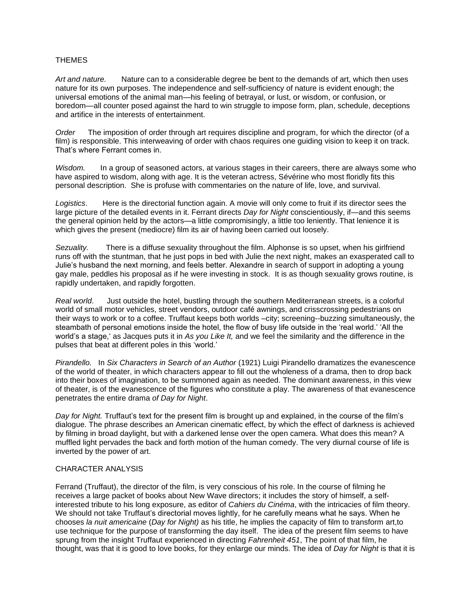### THEMES

*Art and nature.* Nature can to a considerable degree be bent to the demands of art, which then uses nature for its own purposes. The independence and self-sufficiency of nature is evident enough; the universal emotions of the animal man—his feeling of betrayal, or lust, or wisdom, or confusion, or boredom—all counter posed against the hard to win struggle to impose form, plan, schedule, deceptions and artifice in the interests of entertainment.

*Order* The imposition of order through art requires discipline and program, for which the director (of a film) is responsible. This interweaving of order with chaos requires one guiding vision to keep it on track. That's where Ferrant comes in.

*Wisdom.* In a group of seasoned actors, at various stages in their careers, there are always some who have aspired to wisdom, along with age. It is the veteran actress, Sévérine who most floridly fits this personal description. She is profuse with commentaries on the nature of life, love, and survival.

*Logistics*. Here is the directorial function again. A movie will only come to fruit if its director sees the large picture of the detailed events in it. Ferrant directs *Day for Night* conscientiously, if—and this seems the general opinion held by the actors—a little compromisingly, a little too leniently. That lenience it is which gives the present (mediocre) film its air of having been carried out loosely.

*Sezuality.* There is a diffuse sexuality throughout the film. Alphonse is so upset, when his girlfriend runs off with the stuntman, that he just pops in bed with Julie the next night, makes an exasperated call to Julie's husband the next morning, and feels better. Alexandre in search of support in adopting a young gay male, peddles his proposal as if he were investing in stock. It is as though sexuality grows routine, is rapidly undertaken, and rapidly forgotten.

*Real world*. Just outside the hotel, bustling through the southern Mediterranean streets, is a colorful world of small motor vehicles, street vendors, outdoor café awnings, and crisscrossing pedestrians on their ways to work or to a coffee. Truffaut keeps both worlds –city; screening--buzzing simultaneously, the steambath of personal emotions inside the hotel, the flow of busy life outside in the 'real world.' 'All the world's a stage,' as Jacques puts it in *As you Like It,* and we feel the similarity and the difference in the pulses that beat at different poles in this 'world.'

*Pirandello.* In *Six Characters in Search of an Author* (1921) Luigi Pirandello dramatizes the evanescence of the world of theater, in which characters appear to fill out the wholeness of a drama, then to drop back into their boxes of imagination, to be summoned again as needed. The dominant awareness, in this view of theater, is of the evanescence of the figures who constitute a play. The awareness of that evanescence penetrates the entire drama *of Day for Night*.

*Day for Night.* Truffaut's text for the present film is brought up and explained, in the course of the film's dialogue. The phrase describes an American cinematic effect, by which the effect of darkness is achieved by filming in broad daylight, but with a darkened lense over the open camera. What does this mean? A muffled light pervades the back and forth motion of the human comedy. The very diurnal course of life is inverted by the power of art.

### CHARACTER ANALYSIS

Ferrand (Truffaut), the director of the film, is very conscious of his role. In the course of filming he receives a large packet of books about New Wave directors; it includes the story of himself, a selfinterested tribute to his long exposure, as editor of *Cahiers du Cinéma*, with the intricacies of film theory. We should not take Truffaut's directorial moves lightly, for he carefully means what he says. When he chooses *la nuit americaine* (*Day for Night)* as his title, he implies the capacity of film to transform art,to use technique for the purpose of transforming the day itself. The idea of the present film seems to have sprung from the insight Truffaut experienced in directing *Fahrenheit 451*, The point of that film, he thought, was that it is good to love books, for they enlarge our minds. The idea of *Day for Night* is that it is